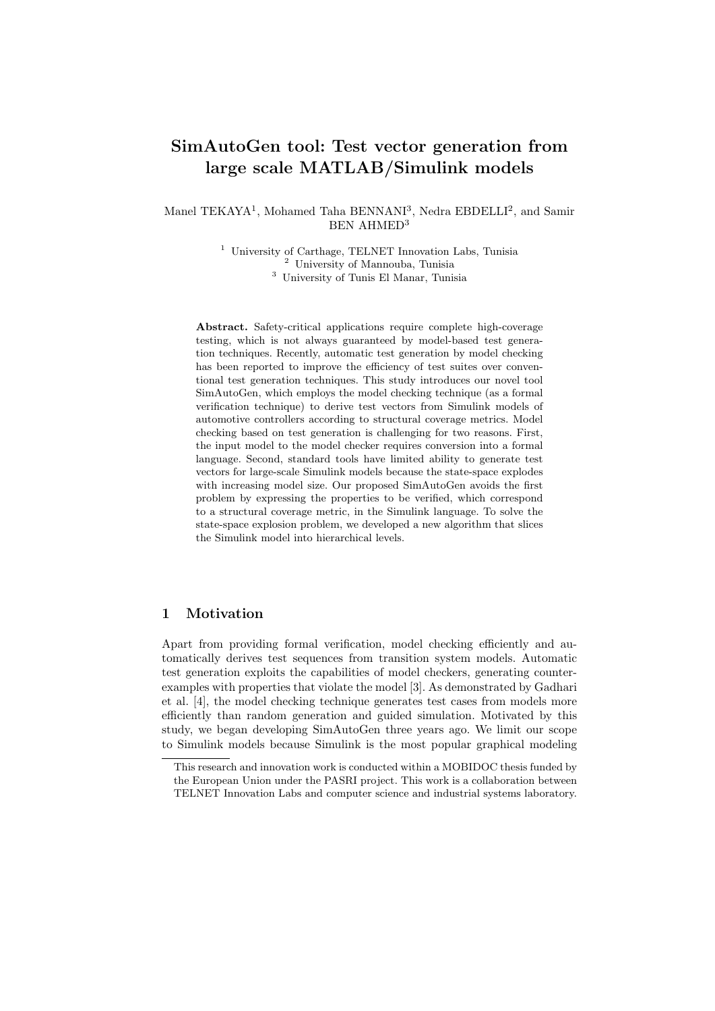# SimAutoGen tool: Test vector generation from large scale MATLAB/Simulink models

Manel TEKAYA<sup>1</sup>, Mohamed Taha BENNANI<sup>3</sup>, Nedra EBDELLI<sup>2</sup>, and Samir BEN AHMED<sup>3</sup>

> <sup>1</sup> University of Carthage, TELNET Innovation Labs, Tunisia <sup>2</sup> University of Mannouba, Tunisia <sup>3</sup> University of Tunis El Manar, Tunisia

Abstract. Safety-critical applications require complete high-coverage testing, which is not always guaranteed by model-based test generation techniques. Recently, automatic test generation by model checking has been reported to improve the efficiency of test suites over conventional test generation techniques. This study introduces our novel tool SimAutoGen, which employs the model checking technique (as a formal verification technique) to derive test vectors from Simulink models of automotive controllers according to structural coverage metrics. Model checking based on test generation is challenging for two reasons. First, the input model to the model checker requires conversion into a formal language. Second, standard tools have limited ability to generate test vectors for large-scale Simulink models because the state-space explodes with increasing model size. Our proposed SimAutoGen avoids the first problem by expressing the properties to be verified, which correspond to a structural coverage metric, in the Simulink language. To solve the state-space explosion problem, we developed a new algorithm that slices the Simulink model into hierarchical levels.

## 1 Motivation

Apart from providing formal verification, model checking efficiently and automatically derives test sequences from transition system models. Automatic test generation exploits the capabilities of model checkers, generating counterexamples with properties that violate the model [3]. As demonstrated by Gadhari et al. [4], the model checking technique generates test cases from models more efficiently than random generation and guided simulation. Motivated by this study, we began developing SimAutoGen three years ago. We limit our scope to Simulink models because Simulink is the most popular graphical modeling

This research and innovation work is conducted within a MOBIDOC thesis funded by the European Union under the PASRI project. This work is a collaboration between TELNET Innovation Labs and computer science and industrial systems laboratory.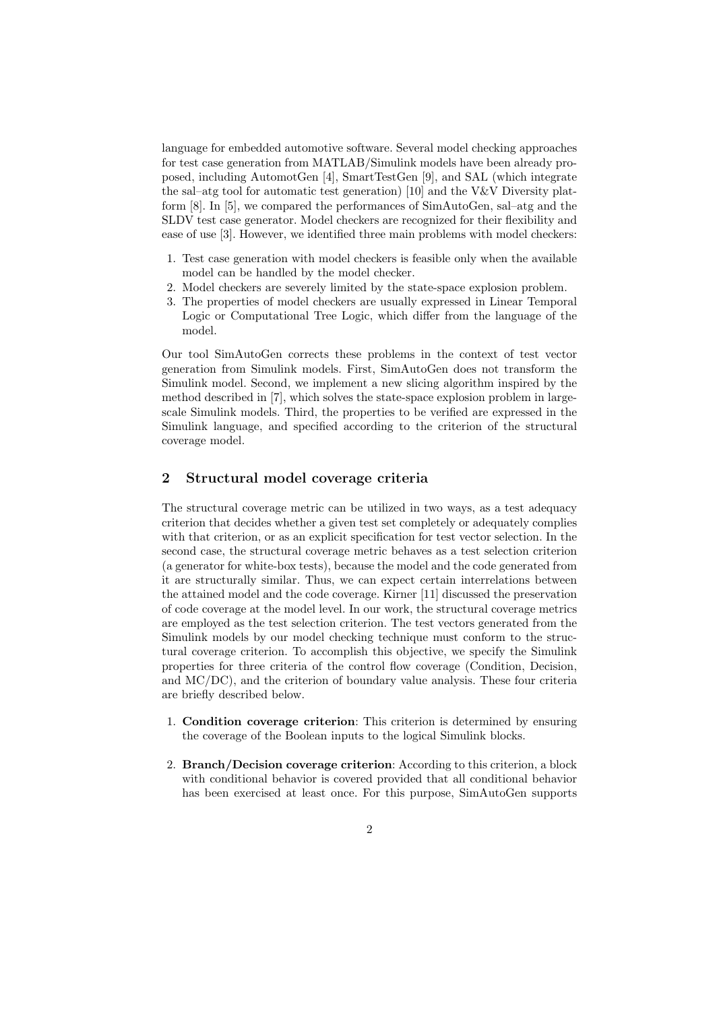language for embedded automotive software. Several model checking approaches for test case generation from MATLAB/Simulink models have been already proposed, including AutomotGen [4], SmartTestGen [9], and SAL (which integrate the sal–atg tool for automatic test generation) [10] and the V&V Diversity platform [8]. In [5], we compared the performances of SimAutoGen, sal–atg and the SLDV test case generator. Model checkers are recognized for their flexibility and ease of use [3]. However, we identified three main problems with model checkers:

- 1. Test case generation with model checkers is feasible only when the available model can be handled by the model checker.
- 2. Model checkers are severely limited by the state-space explosion problem.
- 3. The properties of model checkers are usually expressed in Linear Temporal Logic or Computational Tree Logic, which differ from the language of the model.

Our tool SimAutoGen corrects these problems in the context of test vector generation from Simulink models. First, SimAutoGen does not transform the Simulink model. Second, we implement a new slicing algorithm inspired by the method described in [7], which solves the state-space explosion problem in largescale Simulink models. Third, the properties to be verified are expressed in the Simulink language, and specified according to the criterion of the structural coverage model.

#### 2 Structural model coverage criteria

The structural coverage metric can be utilized in two ways, as a test adequacy criterion that decides whether a given test set completely or adequately complies with that criterion, or as an explicit specification for test vector selection. In the second case, the structural coverage metric behaves as a test selection criterion (a generator for white-box tests), because the model and the code generated from it are structurally similar. Thus, we can expect certain interrelations between the attained model and the code coverage. Kirner [11] discussed the preservation of code coverage at the model level. In our work, the structural coverage metrics are employed as the test selection criterion. The test vectors generated from the Simulink models by our model checking technique must conform to the structural coverage criterion. To accomplish this objective, we specify the Simulink properties for three criteria of the control flow coverage (Condition, Decision, and MC/DC), and the criterion of boundary value analysis. These four criteria are briefly described below.

- 1. Condition coverage criterion: This criterion is determined by ensuring the coverage of the Boolean inputs to the logical Simulink blocks.
- 2. Branch/Decision coverage criterion: According to this criterion, a block with conditional behavior is covered provided that all conditional behavior has been exercised at least once. For this purpose, SimAutoGen supports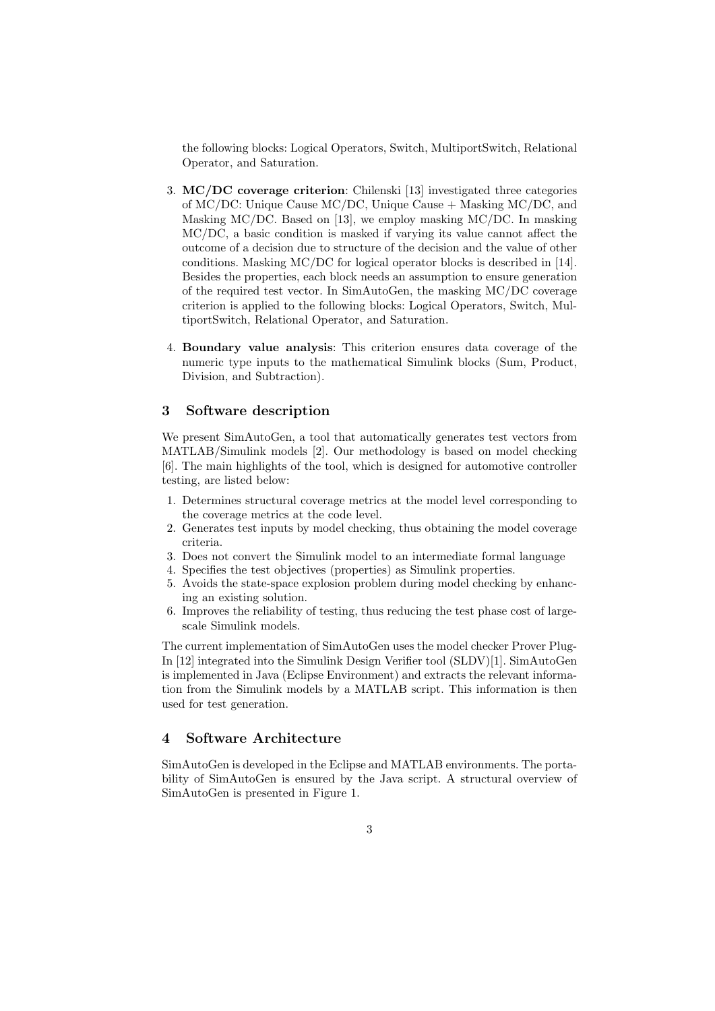the following blocks: Logical Operators, Switch, MultiportSwitch, Relational Operator, and Saturation.

- 3. MC/DC coverage criterion: Chilenski [13] investigated three categories of MC/DC: Unique Cause MC/DC, Unique Cause + Masking MC/DC, and Masking MC/DC. Based on [13], we employ masking MC/DC. In masking MC/DC, a basic condition is masked if varying its value cannot affect the outcome of a decision due to structure of the decision and the value of other conditions. Masking MC/DC for logical operator blocks is described in [14]. Besides the properties, each block needs an assumption to ensure generation of the required test vector. In SimAutoGen, the masking MC/DC coverage criterion is applied to the following blocks: Logical Operators, Switch, MultiportSwitch, Relational Operator, and Saturation.
- 4. Boundary value analysis: This criterion ensures data coverage of the numeric type inputs to the mathematical Simulink blocks (Sum, Product, Division, and Subtraction).

#### 3 Software description

We present SimAutoGen, a tool that automatically generates test vectors from MATLAB/Simulink models [2]. Our methodology is based on model checking [6]. The main highlights of the tool, which is designed for automotive controller testing, are listed below:

- 1. Determines structural coverage metrics at the model level corresponding to the coverage metrics at the code level.
- 2. Generates test inputs by model checking, thus obtaining the model coverage criteria.
- 3. Does not convert the Simulink model to an intermediate formal language
- 4. Specifies the test objectives (properties) as Simulink properties.
- 5. Avoids the state-space explosion problem during model checking by enhancing an existing solution.
- 6. Improves the reliability of testing, thus reducing the test phase cost of largescale Simulink models.

The current implementation of SimAutoGen uses the model checker Prover Plug-In [12] integrated into the Simulink Design Verifier tool (SLDV)[1]. SimAutoGen is implemented in Java (Eclipse Environment) and extracts the relevant information from the Simulink models by a MATLAB script. This information is then used for test generation.

#### 4 Software Architecture

SimAutoGen is developed in the Eclipse and MATLAB environments. The portability of SimAutoGen is ensured by the Java script. A structural overview of SimAutoGen is presented in Figure 1.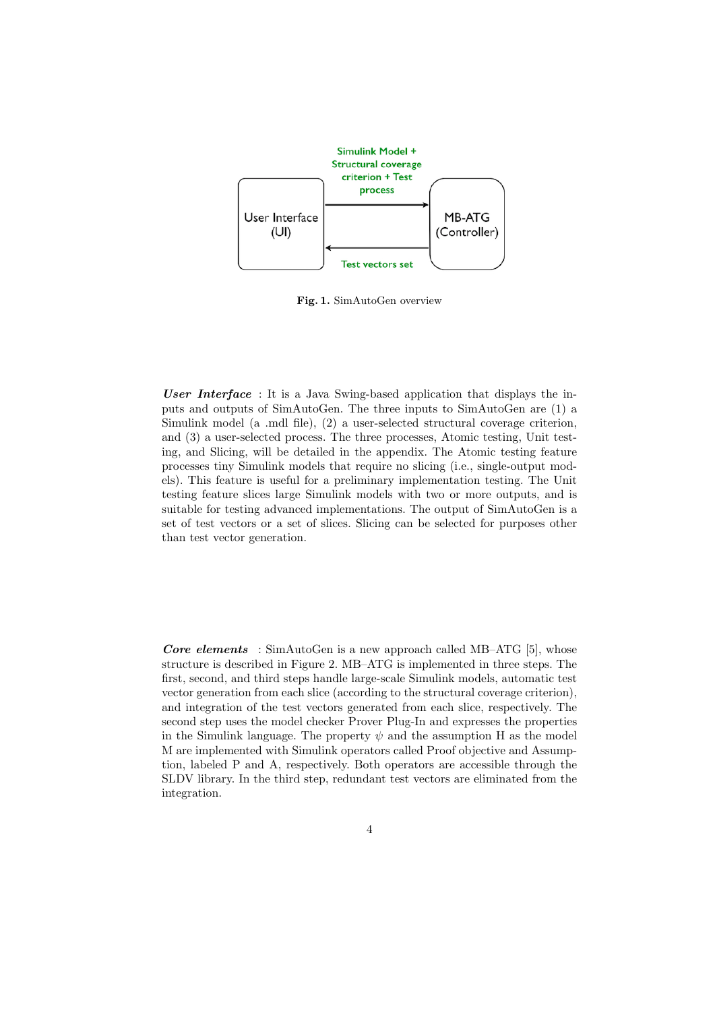

Fig. 1. SimAutoGen overview

User Interface : It is a Java Swing-based application that displays the inputs and outputs of SimAutoGen. The three inputs to SimAutoGen are (1) a Simulink model (a .mdl file), (2) a user-selected structural coverage criterion, and (3) a user-selected process. The three processes, Atomic testing, Unit testing, and Slicing, will be detailed in the appendix. The Atomic testing feature processes tiny Simulink models that require no slicing (i.e., single-output models). This feature is useful for a preliminary implementation testing. The Unit testing feature slices large Simulink models with two or more outputs, and is suitable for testing advanced implementations. The output of SimAutoGen is a set of test vectors or a set of slices. Slicing can be selected for purposes other than test vector generation.

Core elements : SimAutoGen is a new approach called MB–ATG [5], whose structure is described in Figure 2. MB–ATG is implemented in three steps. The first, second, and third steps handle large-scale Simulink models, automatic test vector generation from each slice (according to the structural coverage criterion), and integration of the test vectors generated from each slice, respectively. The second step uses the model checker Prover Plug-In and expresses the properties in the Simulink language. The property  $\psi$  and the assumption H as the model M are implemented with Simulink operators called Proof objective and Assumption, labeled P and A, respectively. Both operators are accessible through the SLDV library. In the third step, redundant test vectors are eliminated from the integration.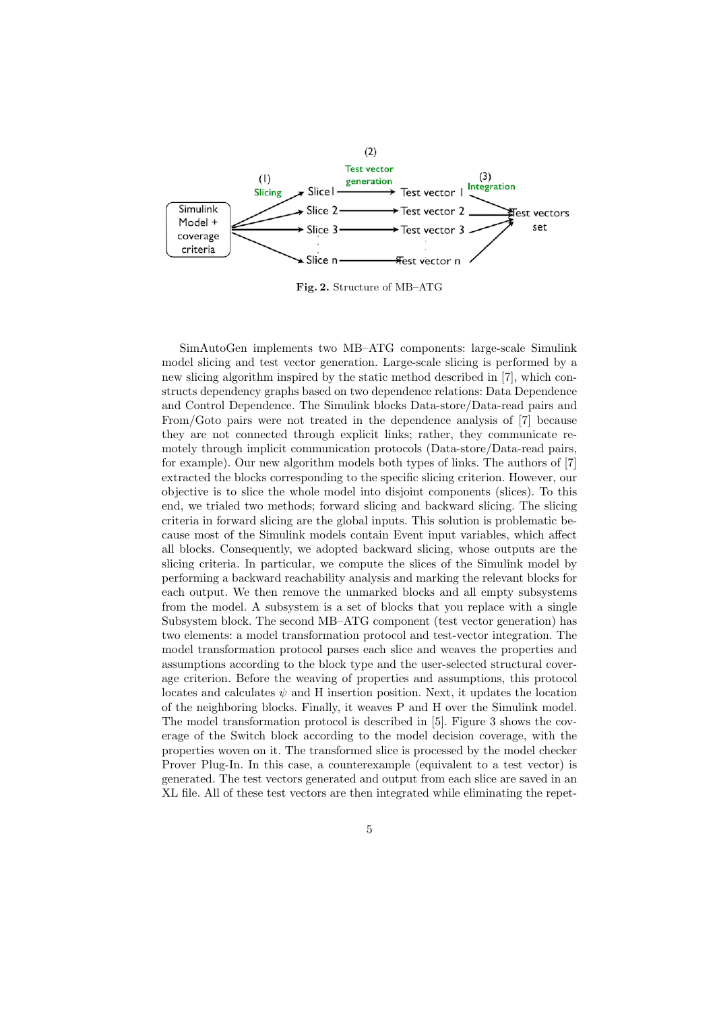

Fig. 2. Structure of MB–ATG

SimAutoGen implements two MB–ATG components: large-scale Simulink model slicing and test vector generation. Large-scale slicing is performed by a new slicing algorithm inspired by the static method described in [7], which constructs dependency graphs based on two dependence relations: Data Dependence and Control Dependence. The Simulink blocks Data-store/Data-read pairs and From/Goto pairs were not treated in the dependence analysis of [7] because they are not connected through explicit links; rather, they communicate remotely through implicit communication protocols (Data-store/Data-read pairs, for example). Our new algorithm models both types of links. The authors of [7] extracted the blocks corresponding to the specific slicing criterion. However, our objective is to slice the whole model into disjoint components (slices). To this end, we trialed two methods; forward slicing and backward slicing. The slicing criteria in forward slicing are the global inputs. This solution is problematic because most of the Simulink models contain Event input variables, which affect all blocks. Consequently, we adopted backward slicing, whose outputs are the slicing criteria. In particular, we compute the slices of the Simulink model by performing a backward reachability analysis and marking the relevant blocks for each output. We then remove the unmarked blocks and all empty subsystems from the model. A subsystem is a set of blocks that you replace with a single Subsystem block. The second MB–ATG component (test vector generation) has two elements: a model transformation protocol and test-vector integration. The model transformation protocol parses each slice and weaves the properties and assumptions according to the block type and the user-selected structural coverage criterion. Before the weaving of properties and assumptions, this protocol locates and calculates  $\psi$  and H insertion position. Next, it updates the location of the neighboring blocks. Finally, it weaves P and H over the Simulink model. The model transformation protocol is described in [5]. Figure 3 shows the coverage of the Switch block according to the model decision coverage, with the properties woven on it. The transformed slice is processed by the model checker Prover Plug-In. In this case, a counterexample (equivalent to a test vector) is generated. The test vectors generated and output from each slice are saved in an XL file. All of these test vectors are then integrated while eliminating the repet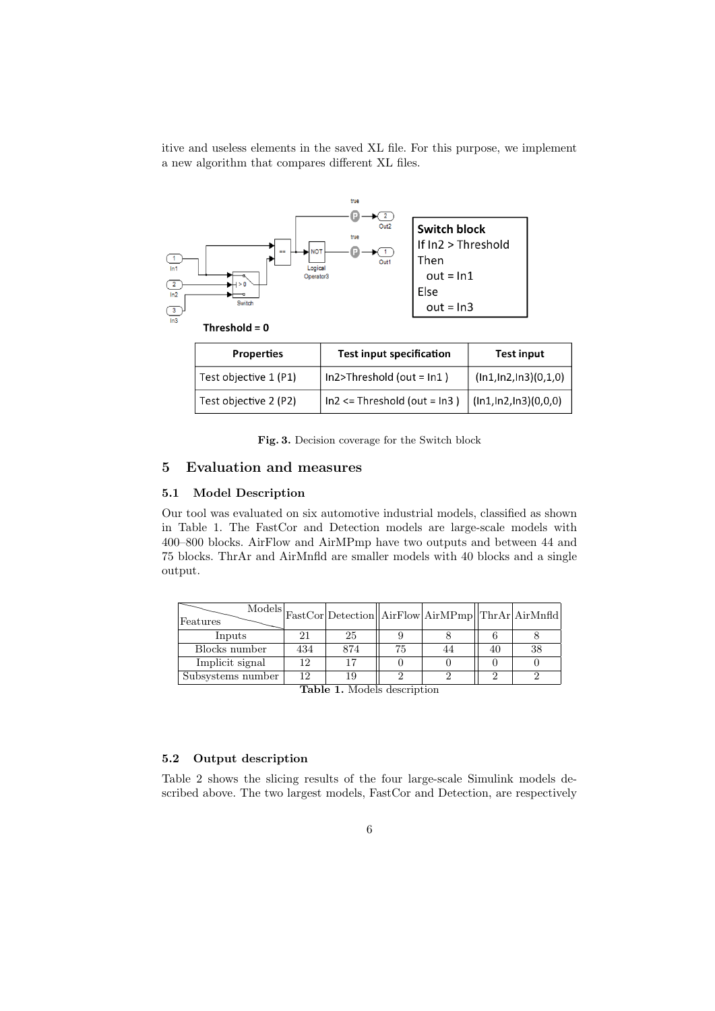itive and useless elements in the saved XL file. For this purpose, we implement a new algorithm that compares different XL files.



| <b>Properties</b>     | <b>Test input specification</b>     | Test input             |  |  |  |  |
|-----------------------|-------------------------------------|------------------------|--|--|--|--|
| Test objective 1 (P1) | In2>Threshold (out = In1)           | (ln1, ln2, ln3)(0,1,0) |  |  |  |  |
| Test objective 2 (P2) | $ln2 \leq$ Threshold (out = $ln3$ ) | (ln1, ln2, ln3)(0,0,0) |  |  |  |  |

Fig. 3. Decision coverage for the Switch block

### 5 Evaluation and measures

#### 5.1 Model Description

Our tool was evaluated on six automotive industrial models, classified as shown in Table 1. The FastCor and Detection models are large-scale models with 400–800 blocks. AirFlow and AirMPmp have two outputs and between 44 and 75 blocks. ThrAr and AirMnfld are smaller models with 40 blocks and a single output.

| Features          |     |     |    | $\sim \frac{\text{Models}}{\text{FastCor}}\text{ \text{ Detection} } \text{ \text{AirFlow} } \text{AirMPmp} \text{ \text{ThrAr} } \text{AirMnfld} $ |    |    |  |  |
|-------------------|-----|-----|----|-----------------------------------------------------------------------------------------------------------------------------------------------------|----|----|--|--|
| Inputs            |     | 25  |    |                                                                                                                                                     |    |    |  |  |
| Blocks number     | 434 | 874 | 75 | 44                                                                                                                                                  | 40 | 38 |  |  |
| Implicit signal   | 12  | 17  |    |                                                                                                                                                     |    |    |  |  |
| Subsystems number | 19  | 19  |    |                                                                                                                                                     |    |    |  |  |
| .                 |     |     |    |                                                                                                                                                     |    |    |  |  |

Table 1. Models description

#### 5.2 Output description

Table 2 shows the slicing results of the four large-scale Simulink models described above. The two largest models, FastCor and Detection, are respectively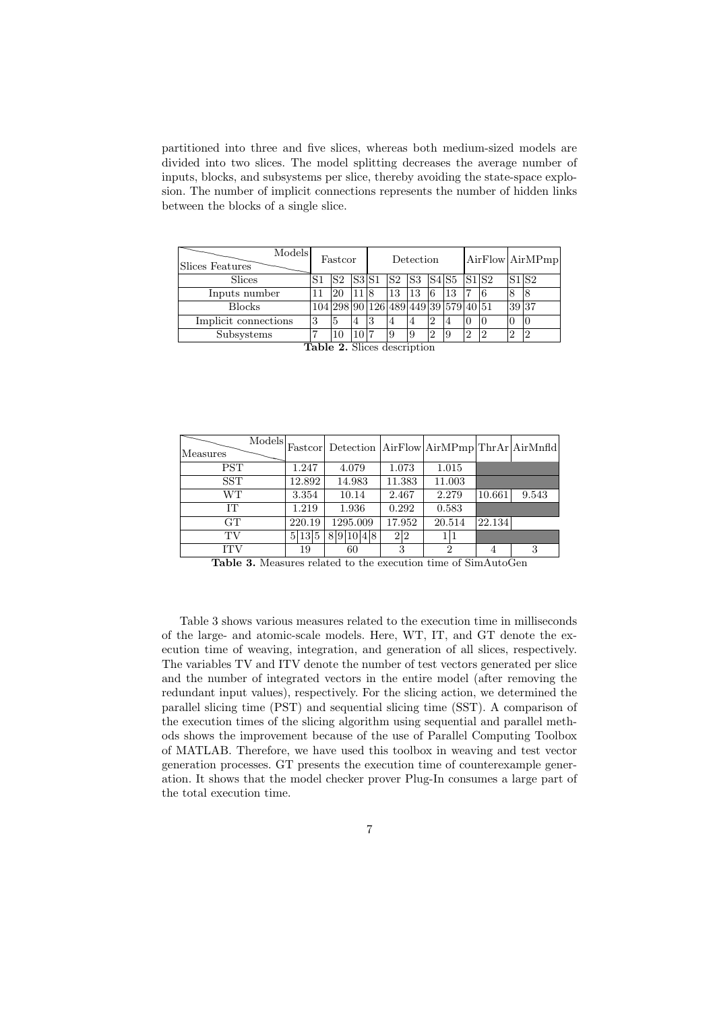partitioned into three and five slices, whereas both medium-sized models are divided into two slices. The model splitting decreases the average number of inputs, blocks, and subsystems per slice, thereby avoiding the state-space explosion. The number of implicit connections represents the number of hidden links between the blocks of a single slice.

| Models<br>Slices Features | Fastcor |              | Detection |     |    |                                     |             |    | AirFlow AirMPmp  |          |       |       |
|---------------------------|---------|--------------|-----------|-----|----|-------------------------------------|-------------|----|------------------|----------|-------|-------|
| <b>Slices</b>             |         | S2           | S3 S1     |     |    | S2 S3 S4 S5 S1 S2                   |             |    |                  |          |       | S1 S2 |
| Inputs number             |         | 20           | 11        | -18 | 13 | 13                                  | 6           | 13 |                  | 6        |       | 8     |
| <b>Blocks</b>             |         |              |           |     |    | 104 298 90 126 489 449 39 579 40 51 |             |    |                  |          | 39 37 |       |
| Implicit connections      |         | 5            | 4         | 3   | 4  | 4                                   | $^{\circ}2$ | 4  | $\left( \right)$ | 10       |       | 0     |
| Subsystems                | ---     | 10<br>$\sim$ | $\sim$    |     | 19 | 9                                   | 2           | -9 | $\overline{2}$   | $\Omega$ | റ     | 12    |

Table 2. Slices description

| Measures   | Models |        | Fastcor Detection AirFlow AirMPmp ThrAr AirMnfld |        |        |        |       |
|------------|--------|--------|--------------------------------------------------|--------|--------|--------|-------|
| <b>PST</b> |        | 1.247  | 4.079                                            | 1.073  | 1.015  |        |       |
| <b>SST</b> |        | 12.892 | 14.983                                           | 11.383 | 11.003 |        |       |
| WТ         |        | 3.354  | 10.14                                            | 2.467  | 2.279  | 10.661 | 9.543 |
| IТ         |        | 1.219  | 1.936                                            | 0.292  | 0.583  |        |       |
| <b>GT</b>  |        | 220.19 | 1295.009                                         | 17.952 | 20.514 | 22.134 |       |
| TV         |        | 5 13 5 | 8 9 10 4 8                                       | 2 2    |        |        |       |
| <b>ITV</b> |        | 19     | 60                                               | 3      | 2      | 4      | 3     |

Table 3. Measures related to the execution time of SimAutoGen

Table 3 shows various measures related to the execution time in milliseconds of the large- and atomic-scale models. Here, WT, IT, and GT denote the execution time of weaving, integration, and generation of all slices, respectively. The variables TV and ITV denote the number of test vectors generated per slice and the number of integrated vectors in the entire model (after removing the redundant input values), respectively. For the slicing action, we determined the parallel slicing time (PST) and sequential slicing time (SST). A comparison of the execution times of the slicing algorithm using sequential and parallel methods shows the improvement because of the use of Parallel Computing Toolbox of MATLAB. Therefore, we have used this toolbox in weaving and test vector generation processes. GT presents the execution time of counterexample generation. It shows that the model checker prover Plug-In consumes a large part of the total execution time.